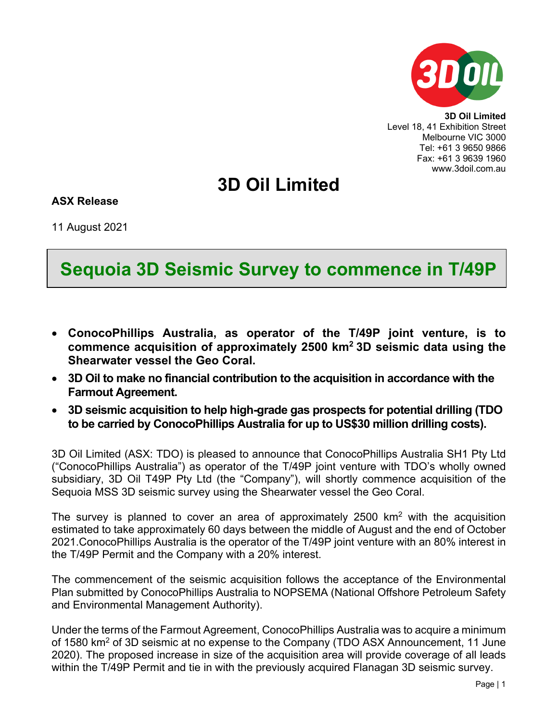

**3D Oil Limited** Level 18, 41 Exhibition Street Melbourne VIC 3000 Tel: +61 3 9650 9866 Fax: +61 3 9639 1960 www.3doil.com.au

## **3D Oil Limited**

## **ASX Release**

11 August 2021

## **Sequoia 3D Seismic Survey to commence in T/49P**

- **ConocoPhillips Australia, as operator of the T/49P joint venture, is to commence acquisition of approximately 2500 km2 3D seismic data using the Shearwater vessel the Geo Coral.**
- **3D Oil to make no financial contribution to the acquisition in accordance with the Farmout Agreement.**
- **3D seismic acquisition to help high-grade gas prospects for potential drilling (TDO to be carried by ConocoPhillips Australia for up to US\$30 million drilling costs).**

3D Oil Limited (ASX: TDO) is pleased to announce that ConocoPhillips Australia SH1 Pty Ltd ("ConocoPhillips Australia") as operator of the T/49P joint venture with TDO's wholly owned subsidiary, 3D Oil T49P Pty Ltd (the "Company"), will shortly commence acquisition of the Sequoia MSS 3D seismic survey using the Shearwater vessel the Geo Coral.

The survey is planned to cover an area of approximately  $2500 \, \text{km}^2$  with the acquisition estimated to take approximately 60 days between the middle of August and the end of October 2021.ConocoPhillips Australia is the operator of the T/49P joint venture with an 80% interest in the T/49P Permit and the Company with a 20% interest.

The commencement of the seismic acquisition follows the acceptance of the Environmental Plan submitted by ConocoPhillips Australia to NOPSEMA (National Offshore Petroleum Safety and Environmental Management Authority).

Under the terms of the Farmout Agreement, ConocoPhillips Australia was to acquire a minimum of 1580 km<sup>2</sup> of 3D seismic at no expense to the Company (TDO ASX Announcement, 11 June 2020). The proposed increase in size of the acquisition area will provide coverage of all leads within the T/49P Permit and tie in with the previously acquired Flanagan 3D seismic survey.